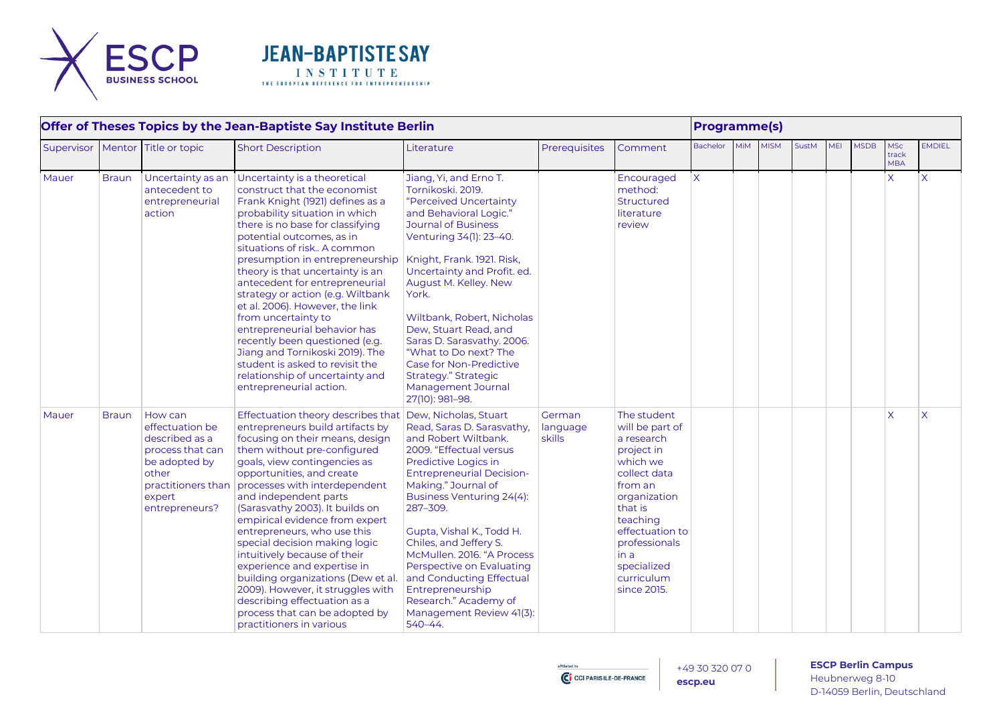



| Offer of Theses Topics by the Jean-Baptiste Say Institute Berlin |              |                                                                                                                                              |                                                                                                                                                                                                                                                                                                                                                                                                                                                                                                                                                                                                                                                  |                                                                                                                                                                                                                                                                                                                                                                                                                                                                          |                              |                                                                                                                                                                                                                                  |                 | <b>Programme(s)</b> |             |              |            |             |                                   |                         |  |  |  |
|------------------------------------------------------------------|--------------|----------------------------------------------------------------------------------------------------------------------------------------------|--------------------------------------------------------------------------------------------------------------------------------------------------------------------------------------------------------------------------------------------------------------------------------------------------------------------------------------------------------------------------------------------------------------------------------------------------------------------------------------------------------------------------------------------------------------------------------------------------------------------------------------------------|--------------------------------------------------------------------------------------------------------------------------------------------------------------------------------------------------------------------------------------------------------------------------------------------------------------------------------------------------------------------------------------------------------------------------------------------------------------------------|------------------------------|----------------------------------------------------------------------------------------------------------------------------------------------------------------------------------------------------------------------------------|-----------------|---------------------|-------------|--------------|------------|-------------|-----------------------------------|-------------------------|--|--|--|
| Supervisor                                                       | Mentor       | Title or topic                                                                                                                               | <b>Short Description</b>                                                                                                                                                                                                                                                                                                                                                                                                                                                                                                                                                                                                                         | Literature                                                                                                                                                                                                                                                                                                                                                                                                                                                               | Prerequisites                | Comment                                                                                                                                                                                                                          | <b>Bachelor</b> | <b>MiM</b>          | <b>MISM</b> | <b>SustM</b> | <b>MEI</b> | <b>MSDB</b> | <b>MSc</b><br>track<br><b>MBA</b> | <b>EMDIEL</b>           |  |  |  |
| Mauer                                                            | <b>Braun</b> | Uncertainty as an<br>antecedent to<br>entrepreneurial<br>action                                                                              | Uncertainty is a theoretical<br>construct that the economist<br>Frank Knight (1921) defines as a<br>probability situation in which<br>there is no base for classifying<br>potential outcomes, as in<br>situations of risk A common<br>presumption in entrepreneurship<br>theory is that uncertainty is an<br>antecedent for entrepreneurial<br>strategy or action (e.g. Wiltbank<br>et al. 2006). However, the link<br>from uncertainty to<br>entrepreneurial behavior has<br>recently been questioned (e.g.<br>Jiang and Tornikoski 2019). The<br>student is asked to revisit the<br>relationship of uncertainty and<br>entrepreneurial action. | Jiang, Yi, and Erno T.<br>Tornikoski, 2019.<br>"Perceived Uncertainty<br>and Behavioral Logic."<br>Journal of Business<br>Venturing 34(1): 23-40.<br>Knight, Frank. 1921. Risk,<br>Uncertainty and Profit. ed.<br>August M. Kelley. New<br>York.<br>Wiltbank, Robert, Nicholas<br>Dew, Stuart Read, and<br>Saras D. Sarasvathy. 2006.<br>"What to Do next? The<br>Case for Non-Predictive<br>Strategy." Strategic<br>Management Journal<br>27(10): 981-98.               |                              | Encouraged<br>method:<br>Structured<br>literature<br>review                                                                                                                                                                      | $\overline{X}$  |                     |             |              |            |             | $\mathsf{X}$                      | $\overline{\mathsf{x}}$ |  |  |  |
| Mauer                                                            | <b>Braun</b> | How can<br>effectuation be<br>described as a<br>process that can<br>be adopted by<br>other<br>practitioners than<br>expert<br>entrepreneurs? | Effectuation theory describes that<br>entrepreneurs build artifacts by<br>focusing on their means, design<br>them without pre-configured<br>goals, view contingencies as<br>opportunities, and create<br>processes with interdependent<br>and independent parts<br>(Sarasvathy 2003). It builds on<br>empirical evidence from expert<br>entrepreneurs, who use this<br>special decision making logic<br>intuitively because of their<br>experience and expertise in<br>building organizations (Dew et al.<br>2009). However, it struggles with<br>describing effectuation as a<br>process that can be adopted by<br>practitioners in various     | Dew, Nicholas, Stuart<br>Read, Saras D. Sarasvathy,<br>and Robert Wiltbank.<br>2009. "Effectual versus<br>Predictive Logics in<br><b>Entrepreneurial Decision-</b><br>Making." Journal of<br>Business Venturing 24(4):<br>287-309.<br>Gupta, Vishal K., Todd H.<br>Chiles, and Jeffery S.<br>McMullen, 2016. "A Process<br>Perspective on Evaluating<br>and Conducting Effectual<br>Entrepreneurship<br>Research." Academy of<br>Management Review 41(3):<br>$540 - 44.$ | German<br>language<br>skills | The student<br>will be part of<br>a research<br>project in<br>which we<br>collect data<br>from an<br>organization<br>that is<br>teaching<br>effectuation to<br>professionals<br>in a<br>specialized<br>curriculum<br>since 2015. |                 |                     |             |              |            |             | $\mathsf{X}$                      | $\overline{\mathsf{X}}$ |  |  |  |

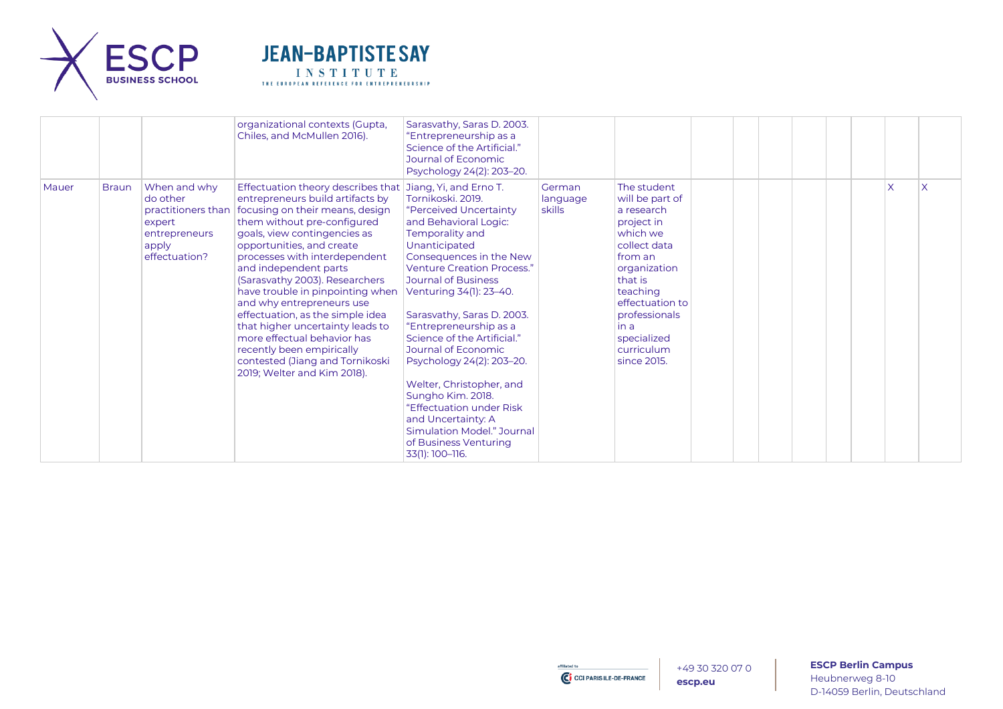



|       |              |                                                                               | organizational contexts (Gupta,<br>Chiles, and McMullen 2016).                                                                                                                                                                                                                                                                                                                                                                                                                                                                                                                                                       | Sarasvathy, Saras D. 2003.<br>"Entrepreneurship as a<br>Science of the Artificial."<br>Journal of Economic<br>Psychology 24(2): 203-20.                                                                                                                                                                                                                                                                                                                                                                                                            |                              |                                                                                                                                                                                                                                  |  |  |              |  |
|-------|--------------|-------------------------------------------------------------------------------|----------------------------------------------------------------------------------------------------------------------------------------------------------------------------------------------------------------------------------------------------------------------------------------------------------------------------------------------------------------------------------------------------------------------------------------------------------------------------------------------------------------------------------------------------------------------------------------------------------------------|----------------------------------------------------------------------------------------------------------------------------------------------------------------------------------------------------------------------------------------------------------------------------------------------------------------------------------------------------------------------------------------------------------------------------------------------------------------------------------------------------------------------------------------------------|------------------------------|----------------------------------------------------------------------------------------------------------------------------------------------------------------------------------------------------------------------------------|--|--|--------------|--|
| Mauer | <b>Braun</b> | When and why<br>do other<br>expert<br>entrepreneurs<br>apply<br>effectuation? | Effectuation theory describes that Jiang, Yi, and Erno T.<br>entrepreneurs build artifacts by<br>practitioners than   focusing on their means, design<br>them without pre-configured<br>goals, view contingencies as<br>opportunities, and create<br>processes with interdependent<br>and independent parts<br>(Sarasvathy 2003). Researchers<br>have trouble in pinpointing when<br>and why entrepreneurs use<br>effectuation, as the simple idea<br>that higher uncertainty leads to<br>more effectual behavior has<br>recently been empirically<br>contested (Jiang and Tornikoski<br>2019; Welter and Kim 2018). | Tornikoski. 2019.<br>"Perceived Uncertainty<br>and Behavioral Logic:<br>Temporality and<br>Unanticipated<br>Consequences in the New<br><b>Venture Creation Process."</b><br>Journal of Business<br>Venturing 34(1): 23-40.<br>Sarasvathy, Saras D. 2003.<br>"Entrepreneurship as a<br>Science of the Artificial."<br>Journal of Economic<br>Psychology 24(2): 203-20.<br>Welter, Christopher, and<br>Sungho Kim. 2018.<br>"Effectuation under Risk<br>and Uncertainty: A<br>Simulation Model." Journal<br>of Business Venturing<br>33(1): 100-116. | German<br>language<br>skills | The student<br>will be part of<br>a research<br>project in<br>which we<br>collect data<br>from an<br>organization<br>that is<br>teaching<br>effectuation to<br>professionals<br>in a<br>specialized<br>curriculum<br>since 2015. |  |  | $\mathsf{x}$ |  |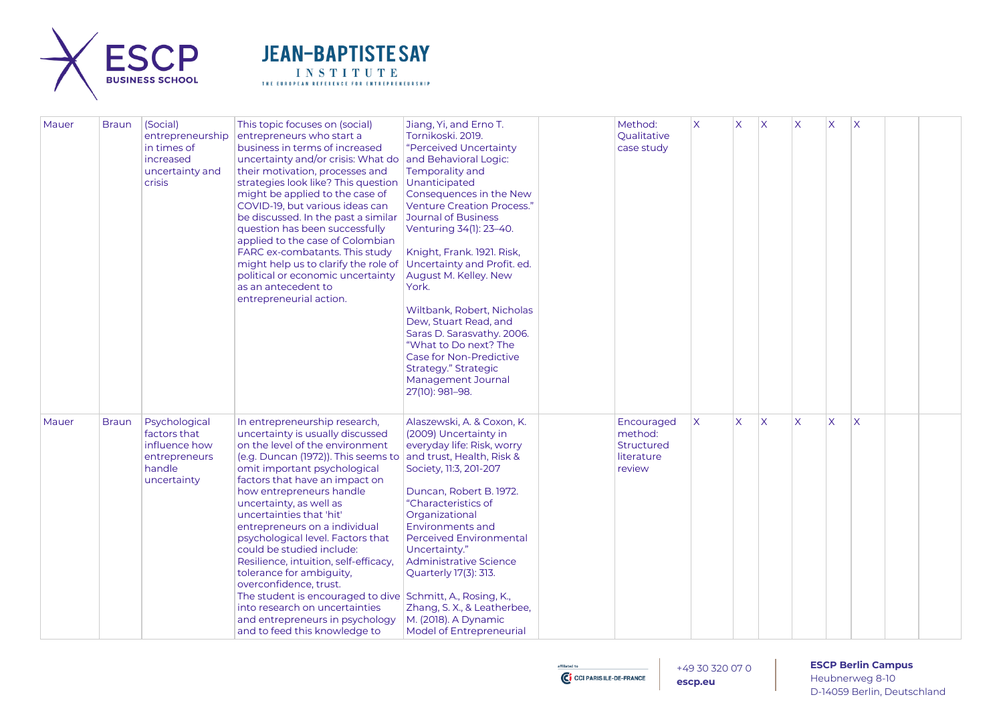



| Mauer | <b>Braun</b> | (Social)<br>entrepreneurship<br>in times of<br>increased<br>uncertainty and<br><b>crisis</b> | This topic focuses on (social)<br>entrepreneurs who start a<br>business in terms of increased<br>uncertainty and/or crisis: What do<br>their motivation, processes and<br>strategies look like? This question<br>might be applied to the case of<br>COVID-19, but various ideas can<br>be discussed. In the past a similar<br>question has been successfully<br>applied to the case of Colombian<br>FARC ex-combatants. This study<br>might help us to clarify the role of<br>political or economic uncertainty<br>as an antecedent to<br>entrepreneurial action.                                                                                                      | Jiang, Yi, and Erno T.<br>Tornikoski, 2019.<br>"Perceived Uncertainty<br>and Behavioral Logic:<br>Temporality and<br>Unanticipated<br>Consequences in the New<br><b>Venture Creation Process.'</b><br><b>Journal of Business</b><br>Venturing 34(1): 23-40.<br>Knight, Frank. 1921. Risk,<br>Uncertainty and Profit. ed.<br>August M. Kelley. New<br>York.<br>Wiltbank, Robert, Nicholas<br>Dew, Stuart Read, and<br>Saras D. Sarasvathy. 2006.<br>"What to Do next? The<br>Case for Non-Predictive<br>Strategy." Strategic<br>Management Journal<br>27(10): 981-98. | Method:<br>Oualitative<br>case study                               | $\times$     | X | $\overline{\mathsf{x}}$ | $\overline{\mathsf{X}}$ | X                       | ΙX                      |  |
|-------|--------------|----------------------------------------------------------------------------------------------|------------------------------------------------------------------------------------------------------------------------------------------------------------------------------------------------------------------------------------------------------------------------------------------------------------------------------------------------------------------------------------------------------------------------------------------------------------------------------------------------------------------------------------------------------------------------------------------------------------------------------------------------------------------------|----------------------------------------------------------------------------------------------------------------------------------------------------------------------------------------------------------------------------------------------------------------------------------------------------------------------------------------------------------------------------------------------------------------------------------------------------------------------------------------------------------------------------------------------------------------------|--------------------------------------------------------------------|--------------|---|-------------------------|-------------------------|-------------------------|-------------------------|--|
| Mauer | <b>Braun</b> | Psychological<br>factors that<br>influence how<br>entrepreneurs<br>handle<br>uncertainty     | In entrepreneurship research,<br>uncertainty is usually discussed<br>on the level of the environment<br>(e.g. Duncan (1972)). This seems to<br>omit important psychological<br>factors that have an impact on<br>how entrepreneurs handle<br>uncertainty, as well as<br>uncertainties that 'hit'<br>entrepreneurs on a individual<br>psychological level. Factors that<br>could be studied include:<br>Resilience, intuition, self-efficacy,<br>tolerance for ambiguity,<br>overconfidence, trust.<br>The student is encouraged to dive Schmitt, A., Rosing, K.,<br>into research on uncertainties<br>and entrepreneurs in psychology<br>and to feed this knowledge to | Alaszewski, A. & Coxon, K.<br>(2009) Uncertainty in<br>everyday life: Risk, worry<br>and trust, Health, Risk &<br>Society, 11:3, 201-207<br>Duncan, Robert B. 1972.<br>"Characteristics of<br>Organizational<br>Environments and<br><b>Perceived Environmental</b><br>Uncertainty."<br>Administrative Science<br>Quarterly 17(3): 313.<br>Zhang, S. X., & Leatherbee,<br>M. (2018). A Dynamic<br><b>Model of Entrepreneurial</b>                                                                                                                                     | Encouraged<br>method:<br><b>Structured</b><br>literature<br>review | $\mathsf{X}$ | X | $\overline{\mathsf{x}}$ | $\overline{\mathsf{x}}$ | $\overline{\mathsf{X}}$ | $\overline{\mathsf{x}}$ |  |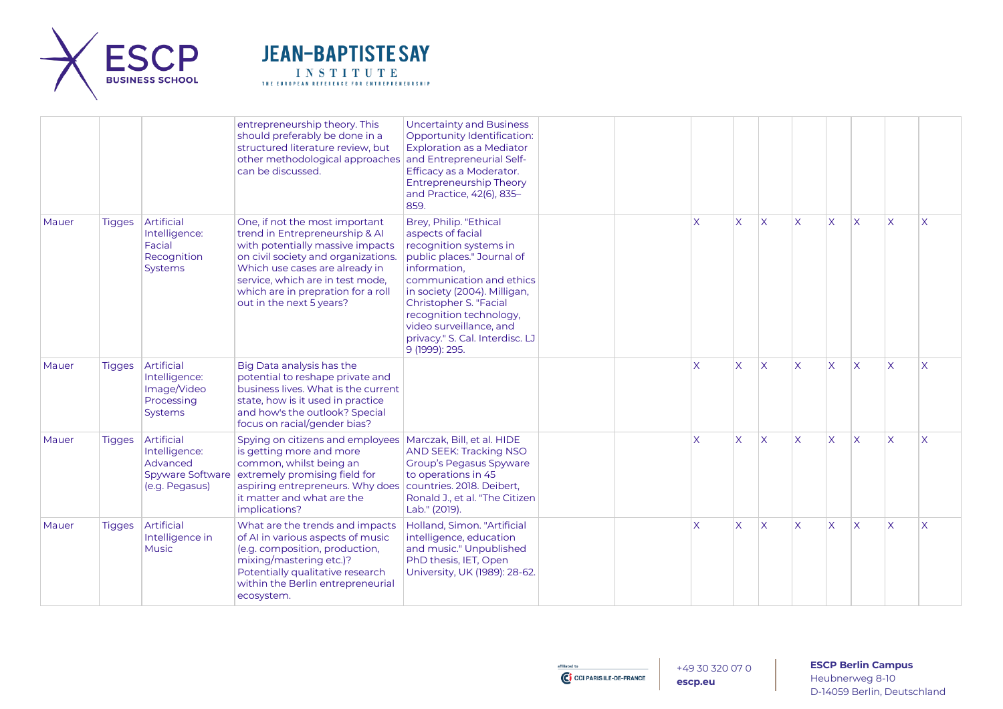



|       |               |                                                                                      | entrepreneurship theory. This<br>should preferably be done in a<br>structured literature review, but<br>other methodological approaches<br>can be discussed.                                                                                                                        | <b>Uncertainty and Business</b><br>Opportunity Identification:<br><b>Exploration as a Mediator</b><br>and Entrepreneurial Self-<br>Efficacy as a Moderator.<br><b>Entrepreneurship Theory</b><br>and Practice, 42(6), 835-<br>859.                                                                                   |  |                         |                         |                         |                         |                         |                         |                         |                         |
|-------|---------------|--------------------------------------------------------------------------------------|-------------------------------------------------------------------------------------------------------------------------------------------------------------------------------------------------------------------------------------------------------------------------------------|----------------------------------------------------------------------------------------------------------------------------------------------------------------------------------------------------------------------------------------------------------------------------------------------------------------------|--|-------------------------|-------------------------|-------------------------|-------------------------|-------------------------|-------------------------|-------------------------|-------------------------|
| Mauer | <b>Tigges</b> | Artificial<br>Intelligence:<br>Facial<br>Recognition<br>Systems                      | One, if not the most important<br>trend in Entrepreneurship & AI<br>with potentially massive impacts<br>on civil society and organizations.<br>Which use cases are already in<br>service, which are in test mode,<br>which are in prepration for a roll<br>out in the next 5 years? | Brey, Philip. "Ethical<br>aspects of facial<br>recognition systems in<br>public places." Journal of<br>information,<br>communication and ethics<br>in society (2004). Milligan,<br>Christopher S. "Facial<br>recognition technology,<br>video surveillance, and<br>privacy." S. Cal. Interdisc. LJ<br>9 (1999): 295. |  | X                       | X                       | $\overline{\mathsf{X}}$ | $\overline{\mathsf{x}}$ | X                       | $\overline{\mathsf{x}}$ | $\overline{\mathsf{x}}$ | $\overline{\mathsf{X}}$ |
| Mauer | <b>Tigges</b> | Artificial<br>Intelligence:<br>Image/Video<br>Processing<br>Systems                  | Big Data analysis has the<br>potential to reshape private and<br>business lives. What is the current<br>state, how is it used in practice<br>and how's the outlook? Special<br>focus on racial/gender bias?                                                                         |                                                                                                                                                                                                                                                                                                                      |  | $\overline{\mathsf{x}}$ | $\overline{\mathsf{x}}$ | $\overline{\mathsf{x}}$ | $\overline{\mathsf{x}}$ | X                       | $\overline{\mathsf{x}}$ | $\overline{\mathsf{x}}$ | $\overline{\mathsf{X}}$ |
| Mauer | <b>Tigges</b> | Artificial<br>Intelligence:<br>Advanced<br><b>Spyware Software</b><br>(e.g. Pegasus) | Spying on citizens and employees   Marczak, Bill, et al. HIDE<br>is getting more and more<br>common, whilst being an<br>extremely promising field for<br>aspiring entrepreneurs. Why does<br>it matter and what are the<br>implications?                                            | AND SEEK: Tracking NSO<br><b>Group's Pegasus Spyware</b><br>to operations in 45<br>countries. 2018. Deibert,<br>Ronald J., et al. "The Citizen<br>Lab." (2019).                                                                                                                                                      |  | $\overline{\mathsf{x}}$ | $\overline{\mathsf{x}}$ | $\overline{\mathsf{X}}$ | $\overline{\mathsf{x}}$ | $\overline{\mathsf{X}}$ | $\overline{\mathsf{x}}$ | $\overline{\mathsf{x}}$ | $\sf X$                 |
| Mauer | <b>Tigges</b> | Artificial<br>Intelligence in<br><b>Music</b>                                        | What are the trends and impacts<br>of AI in various aspects of music<br>(e.g. composition, production,<br>mixing/mastering etc.)?<br>Potentially qualitative research<br>within the Berlin entrepreneurial<br>ecosystem.                                                            | Holland, Simon. "Artificial<br>intelligence, education<br>and music." Unpublished<br>PhD thesis, IET, Open<br>University, UK (1989): 28-62.                                                                                                                                                                          |  | $\overline{\mathsf{x}}$ | $\overline{\mathsf{x}}$ | $\overline{\mathsf{X}}$ | $\overline{\mathsf{x}}$ | $\mathsf{X}$            | $\overline{\mathsf{x}}$ | $\overline{\mathsf{x}}$ | $\overline{\mathsf{X}}$ |

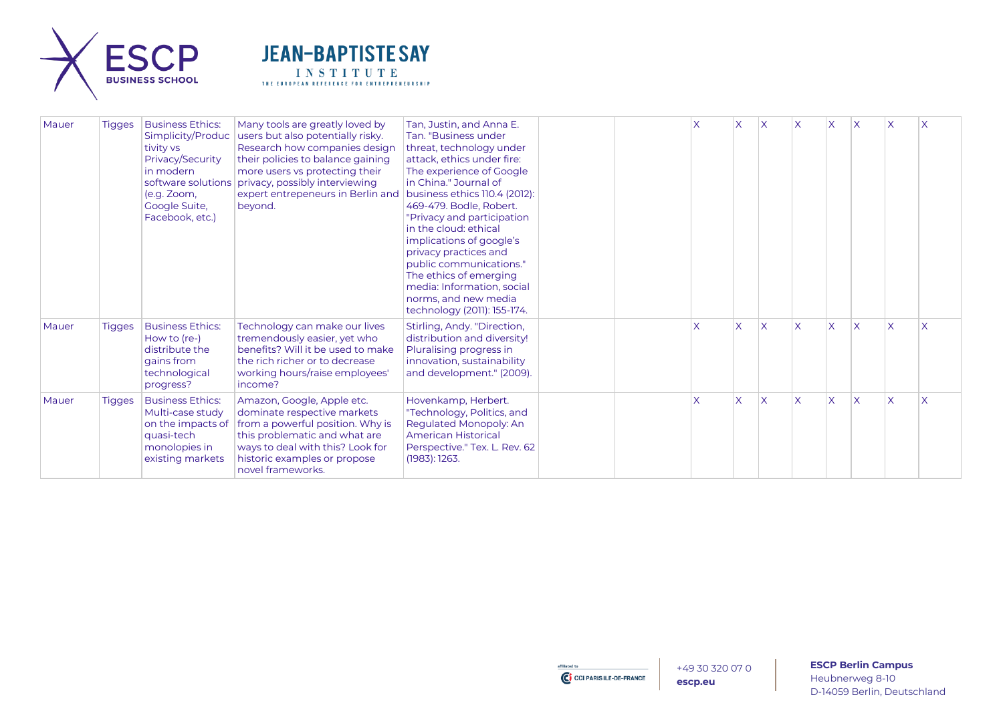



| Mauer | <b>Tigges</b> | <b>Business Ethics:</b><br>tivity vs<br>Privacy/Security<br>in modern<br>(e.g. Zoom,<br>Google Suite,<br>Facebook, etc.) | Many tools are greatly loved by<br>Simplicity/Produc   users but also potentially risky.<br>Research how companies design<br>their policies to balance gaining<br>more users vs protecting their<br>software solutions privacy, possibly interviewing<br>expert entrepeneurs in Berlin and<br>beyond. | Tan, Justin, and Anna E.<br>Tan. "Business under<br>threat, technology under<br>attack, ethics under fire:<br>The experience of Google<br>in China." Journal of<br>business ethics 110.4 (2012):<br>469-479. Bodle, Robert.<br>"Privacy and participation"<br>in the cloud: ethical<br>implications of google's<br>privacy practices and<br>public communications."<br>The ethics of emerging<br>media: Information, social<br>norms, and new media<br>technology (2011): 155-174. |  |                         | $\times$                | X        |              |                         | X        |              | X        |
|-------|---------------|--------------------------------------------------------------------------------------------------------------------------|-------------------------------------------------------------------------------------------------------------------------------------------------------------------------------------------------------------------------------------------------------------------------------------------------------|------------------------------------------------------------------------------------------------------------------------------------------------------------------------------------------------------------------------------------------------------------------------------------------------------------------------------------------------------------------------------------------------------------------------------------------------------------------------------------|--|-------------------------|-------------------------|----------|--------------|-------------------------|----------|--------------|----------|
| Mauer | <b>Tigges</b> | <b>Business Ethics:</b><br>How to (re-)<br>distribute the<br>gains from<br>technological<br>progress?                    | Technology can make our lives<br>tremendously easier, yet who<br>benefits? Will it be used to make<br>the rich richer or to decrease<br>working hours/raise employees'<br>income?                                                                                                                     | Stirling, Andy. "Direction,<br>distribution and diversity!<br>Pluralising progress in<br>innovation, sustainability<br>and development." (2009).                                                                                                                                                                                                                                                                                                                                   |  | X                       | $\overline{\mathsf{x}}$ | $\times$ | $\mathsf{X}$ | X                       | $\times$ | $\mathsf{x}$ |          |
| Mauer | <b>Tigges</b> | <b>Business Ethics:</b><br>Multi-case study<br>on the impacts of<br>quasi-tech<br>monolopies in<br>existing markets      | Amazon, Google, Apple etc.<br>dominate respective markets<br>from a powerful position. Why is<br>this problematic and what are<br>ways to deal with this? Look for<br>historic examples or propose<br>novel frameworks.                                                                               | Hovenkamp, Herbert.<br>"Technology, Politics, and<br>Regulated Monopoly: An<br><b>American Historical</b><br>Perspective." Tex. L. Rev. 62<br>(1983): 1263.                                                                                                                                                                                                                                                                                                                        |  | $\overline{\mathsf{x}}$ | $\overline{\mathsf{x}}$ | $\times$ | $\sf X$      | $\overline{\mathsf{x}}$ | X        | $\mathsf{x}$ | $\times$ |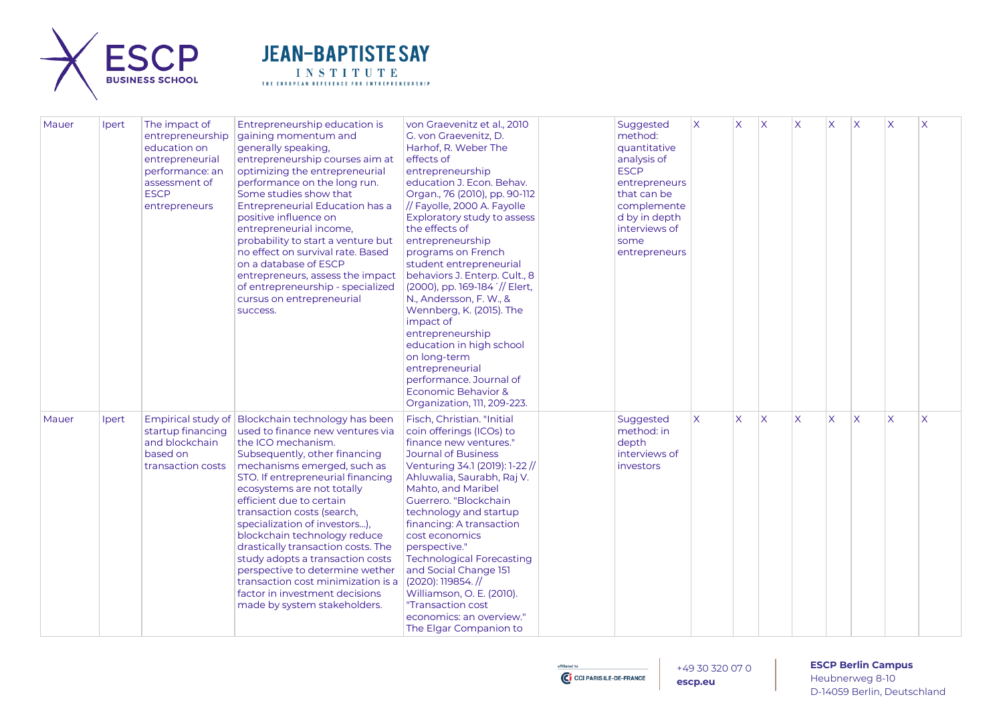



| Mauer | Ipert | The impact of<br>entrepreneurship<br>education on<br>entrepreneurial<br>performance: an<br>assessment of<br><b>ESCP</b><br>entrepreneurs | Entrepreneurship education is<br>gaining momentum and<br>generally speaking,<br>entrepreneurship courses aim at<br>optimizing the entrepreneurial<br>performance on the long run.<br>Some studies show that<br><b>Entrepreneurial Education has a</b><br>positive influence on<br>entrepreneurial income,<br>probability to start a venture but<br>no effect on survival rate. Based<br>on a database of ESCP<br>entrepreneurs, assess the impact<br>of entrepreneurship - specialized<br>cursus on entrepreneurial<br>success.                                                                | von Graevenitz et al., 2010<br>G. von Graevenitz, D.<br>Harhof, R. Weber The<br>effects of<br>entrepreneurship<br>education J. Econ. Behav.<br>Organ., 76 (2010), pp. 90-112<br>// Fayolle, 2000 A. Fayolle<br>Exploratory study to assess<br>the effects of<br>entrepreneurship<br>programs on French<br>student entrepreneurial<br>behaviors J. Enterp. Cult., 8<br>(2000), pp. 169-184 '// Elert,<br>N., Andersson, F. W., &<br>Wennberg, K. (2015). The<br>impact of<br>entrepreneurship<br>education in high school<br>on long-term<br>entrepreneurial<br>performance. Journal of<br>Economic Behavior &<br>Organization, 111, 209-223. | Suggested<br>method:<br>quantitative<br>analysis of<br><b>ESCP</b><br>entrepreneurs<br>that can be<br>complemente<br>d by in depth<br>interviews of<br>some<br>entrepreneurs | $\boldsymbol{\mathsf{X}}$ | X            | $\overline{\mathsf{x}}$ | X                       | $\overline{\mathsf{x}}$ | $\mathsf{X}$ | $\overline{\mathsf{X}}$ | $\times$                |
|-------|-------|------------------------------------------------------------------------------------------------------------------------------------------|------------------------------------------------------------------------------------------------------------------------------------------------------------------------------------------------------------------------------------------------------------------------------------------------------------------------------------------------------------------------------------------------------------------------------------------------------------------------------------------------------------------------------------------------------------------------------------------------|----------------------------------------------------------------------------------------------------------------------------------------------------------------------------------------------------------------------------------------------------------------------------------------------------------------------------------------------------------------------------------------------------------------------------------------------------------------------------------------------------------------------------------------------------------------------------------------------------------------------------------------------|------------------------------------------------------------------------------------------------------------------------------------------------------------------------------|---------------------------|--------------|-------------------------|-------------------------|-------------------------|--------------|-------------------------|-------------------------|
| Mauer | Ipert | startup financing<br>and blockchain<br>based on<br>transaction costs                                                                     | Empirical study of Blockchain technology has been<br>used to finance new ventures via<br>the ICO mechanism.<br>Subsequently, other financing<br>mechanisms emerged, such as<br>STO. If entrepreneurial financing<br>ecosystems are not totally<br>efficient due to certain<br>transaction costs (search,<br>specialization of investors),<br>blockchain technology reduce<br>drastically transaction costs. The<br>study adopts a transaction costs<br>perspective to determine wether<br>transaction cost minimization is a<br>factor in investment decisions<br>made by system stakeholders. | Fisch, Christian. "Initial<br>coin offerings (ICOs) to<br>finance new ventures."<br><b>Journal of Business</b><br>Venturing 34.1 (2019): 1-22 //<br>Ahluwalia, Saurabh, Raj V.<br>Mahto, and Maribel<br>Guerrero. "Blockchain<br>technology and startup<br>financing: A transaction<br>cost economics<br>perspective."<br><b>Technological Forecasting</b><br>and Social Change 151<br>$(2020): 119854.$ //<br>Williamson, O. E. (2010).<br>"Transaction cost<br>economics: an overview."<br>The Elgar Companion to                                                                                                                          | Suggested<br>method: in<br>depth<br>interviews of<br>investors                                                                                                               | $\overline{X}$            | $\mathsf{X}$ | $\overline{\mathsf{x}}$ | $\overline{\mathsf{X}}$ | $\overline{\mathsf{x}}$ | ΙX           | $\overline{\mathsf{x}}$ | $\overline{\mathsf{X}}$ |